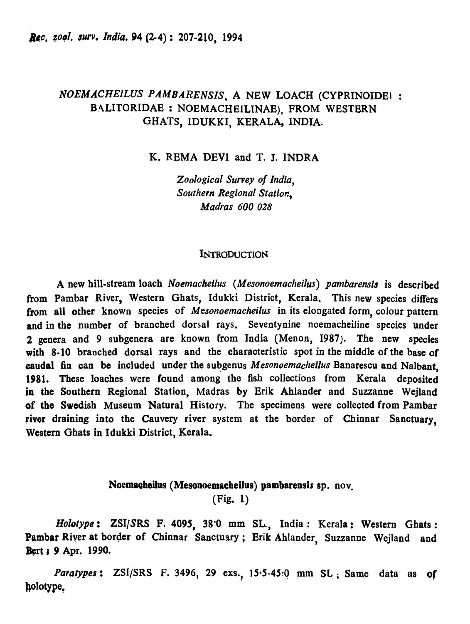## *NOEMA,CHEILUS PAMBARENSIS.* A NEW LOACH (CYPRINOIDEI : BALITORIDAE : NOEMACHEILINAE), FROM WESTERN GHATS, IDUKKI, KERALA, INDIA.

K. REMA DEVI and T. J. INDRA

*Zoological Survey of India, Southern Regional Station, Madras 600 028* 

#### **INTRODUCTION**

A new hill-stream loach *Noemachellus (Mesonoemacheilus) pambarensis* is described from Pambar River, Western Ghats, Idukki District, Kerala. This new species differs from all other- known species of *Mesonoemacheilus* in its elongated form, colour pattern and in the number of branched dorsal rays. Seventynine noemacheiline species under 2 genera and 9 subgenera are known from In4ia (Menon, 1987). The new species with 8-10 branched dorsal rays and the characteristic spot in the middle of the base of **caudal fin can be included under the subgenus** *Mesonoemachellus* **Banarescu and Nalbant**, 1981. These loaches were found among the fish collections from Kerala deposited in the Southern Regional Station, Madras by Erik Ahlander and Suzzanne Wejland of the Swedish Museum Natural History. The specimens were collected from Pambar fiver draining into the Cauvery river system at the border of Chinnar Sanctuary, Western Ghats in Idukki District, Kerala.

# Noemacheilus (Mesonoemacheilus) pambarensis sp. nov. (Fig. 1)

*Bololyps:* ZSI/SRS F. 4095, 38·0 mm SL., India: Kerala: Western Ghats: Pambar River at border of Chinnar Sanctuary; Erik Ahlander, Suzzanne Wejland and Bert; 9 Apr. 1990.

*Paratypes*: ZSI/SRS F. 3496, 29 exs., 15.5-45.0 mm SL; Same data as of holotype.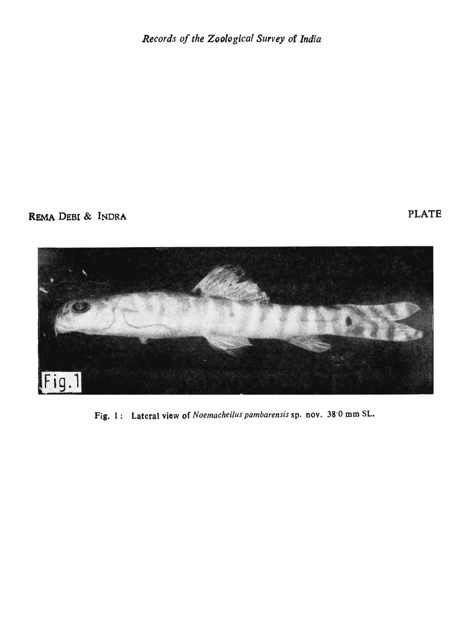REMA DEBI & INDRA



Fig. 1: Lateral view of Noemacheilus pambarensis sp. nov. 38.0 mm SL.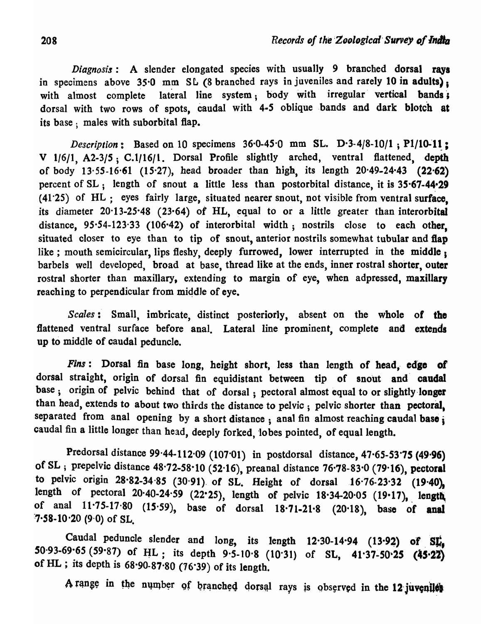*Diagnosis:* A slender elongated species with usually 9 branched dorsal rays in specimens above 35.0 mm SL (8 branched rays in juveniles and rarely 10 in adults): with almost complete lateral line system; body with irregular vertical bands; dorsal with two rows of spots, caudal with 4-5 oblique bands and dark blotch at its base; males with suborbital flap.

*Description*: Based on 10 specimens  $36.0 - 45.0$  mm SL. D.3.4/8-10/1; P1/10-11; V 1/6/1, A2-3/5; C.1/16/1. Dorsal Profile slightly arched, ventral flattened, depth of body  $13.55 - 16.61$  (15.27), head broader than high, its length  $20.49 - 24.43$  (22.62) percent of  $SL$ ; length of snout a little less than postorbital distance, it is  $35.67-44.29$ (41"25) of HL; eyes fairly large, situated nearer snout, not visible from ventral surface, its diameter 20·13-25-48 (23-64) of HL, equal to or a little greater than interorbital distance, 95.54-123.33 (106.42) of interorbital width; nostrils close to each other, situated closer to eye than to tip of snout, anterior nostrils somewhat tubular and flap like; mouth semicircular, lips fleshy, deeply furrowed, lower interrupted in the middle; barbels well developed, broad at base, thread like at the ends, inner rostral shorter, outer rostral shorter than maxillary, extending to margin of eye, when adpressed, maxillary reaching to perpendicular from middle of eye.

Scales: Small, imbricate, distinct posteriorly, absent on the whole of the flattened ventral surface before anal. Lateral line prominent, complete and extends up to middle of caudal peduncle\_

*Fins*: Dorsal fin base long, height short, less than length of head, edge of dorsal straight, origin of dorsal fin equidistant between tip of snout and caudal base; origin of pelvic behind that of dorsal; pectoral almost equal to or slightly longer than head, extends to about two thirds the distance to pelvic; pelvic shorter than pectoral, separated from anal opening by a short distance; anal fin almost reaching caudal base; caudal fin a little longer than head, deeply forked, lobes pointed, of equal length.

Predorsal distance 99.44-112.09 (107.01) in postdorsal distance, 47.65-53.75 (49.96) of SL; prepelvic distance  $48.72-58.10$  (52.16), preanal distance  $76.78-83.0$  (79.16), pectoral to pelvic origin  $28.82-34.85$  (30.91) of SL. Height of dorsal  $16.76-23.32$  (19.40), length of pectoral  $20.40$ -24.59 (22.25), length of pelvic  $18.34$ -20.05 (19.17), length of anal  $11.75-17.80$  (15.59), base of dorsal 18.71-21.8 (20.18), base of anal  $7.58-10.20$  (9.0) of SL.

Caudal peduncle slender and long, its length  $12.30-14.94$  (13.92) of SL, 50.93-69.65 (59.87) of HL; its depth 9.5-10.8 (10.31) of SL, 41.37-50.25 (45.22) of HL; its depth is  $68.90-87.80$  (76.39) of its length.

A range in the number of branched dorsal rays is observed in the 12 juveniles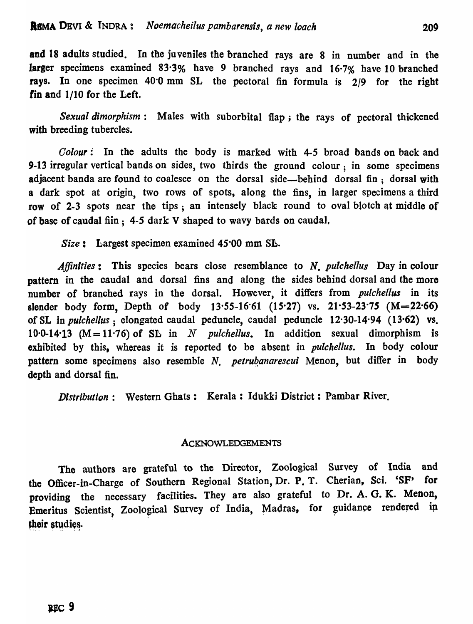and 18 adults studied. In the juveniles the branched rays are 8 in number and in the larger specimens examined 83·3% have 9 branched rays and 16·7% bave 10 branched rays. In one specimen 40·0 mm SL the pectoral fin formula is 2/9 for the right fin and 1/10 for the Left.

*Sexual dimorphism:* Males with suborbital flap; the rays of pectoral thickened with breeding tubercles.

*Colour:* In the adults the body is marked with 4-5 broad bands on back and 9-13 irregular vertical bands on sides, two thirds the ground colour; in some specimens adjacent banda are found to coalesce on the dorsal side—behind dorsal fin; dorsal with a dark spot at origin, two rows of spots, along the fins, in larger specimens a third row of 2-3 spots near the tips; an intensely black round to oval blotch at middle of of base of caudal fiin;  $4-5$  dark V shaped to wavy bards on caudal.

Size: Largest specimen examined 45<sup>.</sup>00 mm SL.

*Affinities:* This species bears close resemblance to *N. pulchellus* Day in colour pattern in the caudal and dorsal fins and along the sides behind dorsal and the more number of branched rays in the dorsal. However, it differs from *pulchellus* in its slender body form, Depth of body  $13.55-16.61$  (15.27) vs.  $21.53-23.75$  (M=22.66) of SL in *pulchel/us;* elongated caudal peduncle, caudal peduncle 12·30-14·94 (13·62) vs. 10.0-14.13 ( $M = 11.76$ ) of SL in N *pulchellus*. In addition sexual dimorphism is exhibited by this, whereas it is reported to be absent in *pulchellus.* In body colour pattern some specimens also resemble N. petrubanarescui Menon, but differ in body depth and dorsal fin.

*Distribution:* Western Ghats: Kerala: Idukki District: Pambar River.

#### ACKNOWLEDGEMENTS

The authors are grateful to the Director, Zoological Survey of India and the Officer-in-Charge of Southern Regional Station, Dr. P. T. Cherian, Sci. 'SF' for providing the necessary facilities. They are also grateful to Dr. A. G. K. Menon, Emeritus Scientist, Zoological Survey of India, Madras, for guidance rendered in their studies.